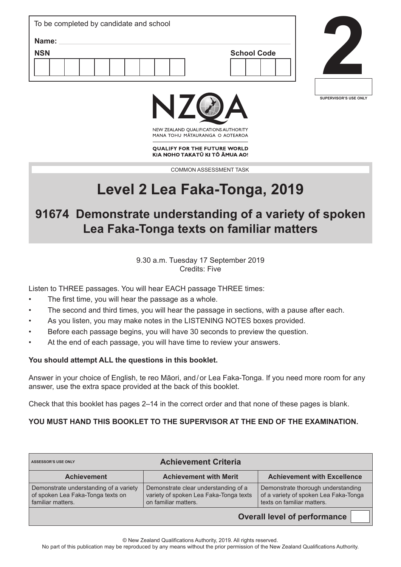| To be completed by candidate and school   |  |
|-------------------------------------------|--|
| Name:<br><b>NSN</b><br><b>School Code</b> |  |
|                                           |  |





NEW ZEALAND OUALIFICATIONS AUTHORITY MANA TOHU MATAURANGA O AOTEAROA

**OUALIFY FOR THE FUTURE WORLD** KIA NOHO TAKATŪ KI TŌ ĀMUA AO!

COMMON ASSESSMENT TASK

# **Level 2 Lea Faka-Tonga, 2019**

**91674 Demonstrate understanding of a variety of spoken Lea Faka-Tonga texts on familiar matters**

> 9.30 a.m. Tuesday 17 September 2019 Credits: Five

Listen to THREE passages. You will hear EACH passage THREE times:

- The first time, you will hear the passage as a whole.
- The second and third times, you will hear the passage in sections, with a pause after each.
- As you listen, you may make notes in the LISTENING NOTES boxes provided.
- Before each passage begins, you will have 30 seconds to preview the question.
- At the end of each passage, you will have time to review your answers.

# **You should attempt ALL the questions in this booklet.**

Answer in your choice of English, te reo Māori, and/or Lea Faka-Tonga. If you need more room for any answer, use the extra space provided at the back of this booklet.

Check that this booklet has pages 2–14 in the correct order and that none of these pages is blank.

# **YOU MUST HAND THIS BOOKLET TO THE SUPERVISOR AT THE END OF THE EXAMINATION.**

| <b>Achievement Criteria</b><br><b>ASSESSOR'S USE ONLY</b>                                        |                                                                                                        |                                                                                                           |  |  |  |
|--------------------------------------------------------------------------------------------------|--------------------------------------------------------------------------------------------------------|-----------------------------------------------------------------------------------------------------------|--|--|--|
| <b>Achievement</b>                                                                               | <b>Achievement with Merit</b>                                                                          | <b>Achievement with Excellence</b>                                                                        |  |  |  |
| Demonstrate understanding of a variety<br>of spoken Lea Faka-Tonga texts on<br>familiar matters. | Demonstrate clear understanding of a<br>variety of spoken Lea Faka-Tonga texts<br>on familiar matters. | Demonstrate thorough understanding<br>of a variety of spoken Lea Faka-Tonga<br>texts on familiar matters. |  |  |  |

**Overall level of performance**

No part of this publication may be reproduced by any means without the prior permission of the New Zealand Qualifications Authority.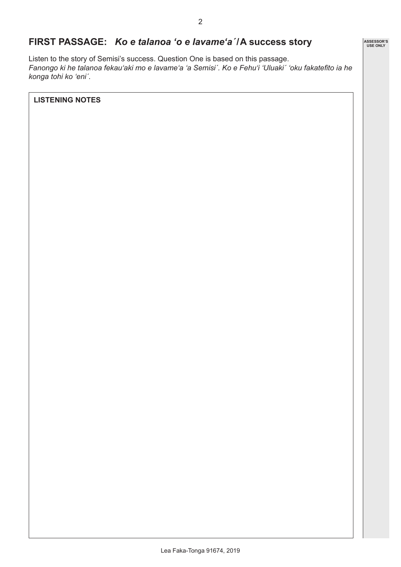**ASSESSOR'S USE ONLY**

# **FIRST PASSAGE:** *Ko e talanoa 'o e lavame'a´***/A success story**

Listen to the story of Semisi's success. Question One is based on this passage. *Fanongo ki he talanoa fekau'aki mo e lavame'a 'a Semisi´. Ko e Fehu'i 'Uluaki´ 'oku fakatefito ia he konga tohi ko 'eni´.*

**LISTENING NOTES**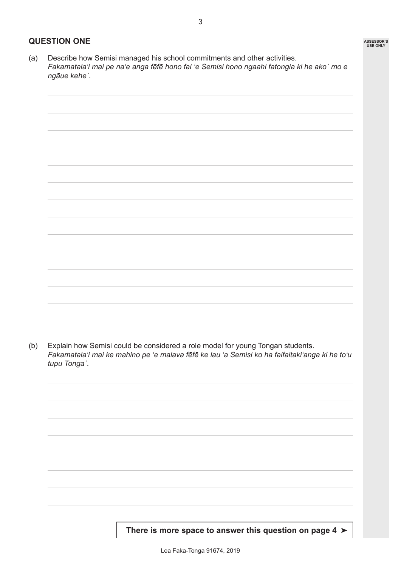# **QUESTION ONE**

(a) Describe how Semisi managed his school commitments and other activities. *Fakamatala'i mai pe na'e anga fēfē hono fai 'e Semisi hono ngaahi fatongia ki he ako´ mo e ngāue kehe´.*

(b) Explain how Semisi could be considered a role model for young Tongan students. *Fakamatala'i mai ke mahino pe 'e malava fēfē ke lau 'a Semisi ko ha faifaitaki'anga ki he to'u tupu Tonga´.*

**There is more space to answer this question on page 4** ➤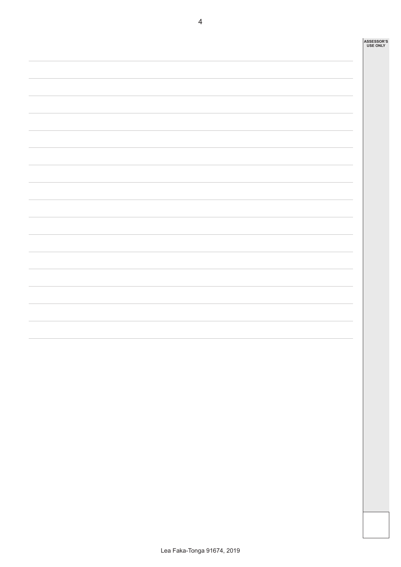| ASSESSOR'S      |
|-----------------|
| <b>USE ONLY</b> |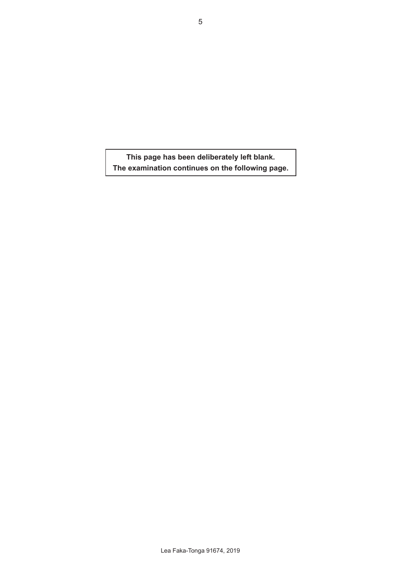**This page has been deliberately left blank. The examination continues on the following page.**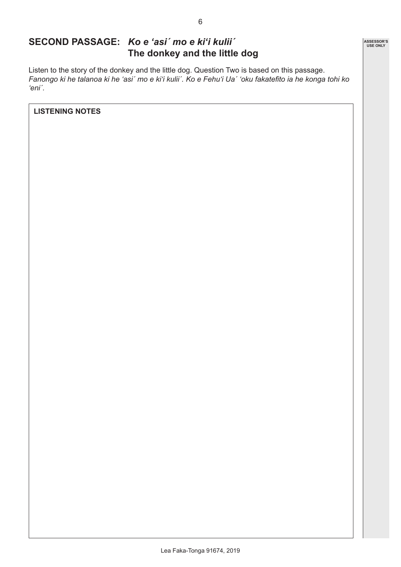#### 6

**ASSESSOR'S USE ONLY**

# **SECOND PASSAGE:** *Ko e 'asi´ mo e ki'i kulii´* **The donkey and the little dog**

Listen to the story of the donkey and the little dog. Question Two is based on this passage. *Fanongo ki he talanoa ki he 'asi´ mo e ki'i kulii´. Ko e Fehu'i Ua´ 'oku fakatefito ia he konga tohi ko 'eni´.*

**LISTENING NOTES**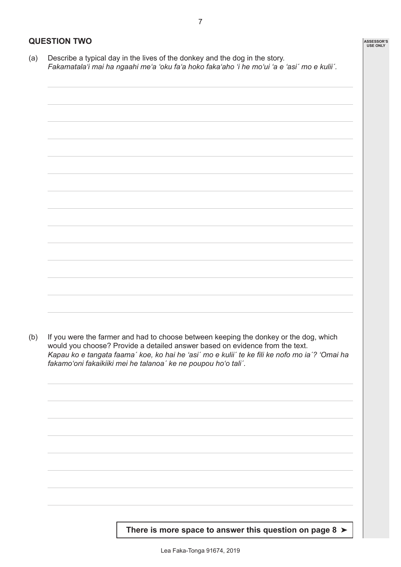(a) Describe a typical day in the lives of the donkey and the dog in the story. *Fakamatala'i mai ha ngaahi me'a 'oku fa'a hoko faka'aho 'i he mo'ui 'a e 'asi´ mo e kulii´.*



(b) If you were the farmer and had to choose between keeping the donkey or the dog, which would you choose? Provide a detailed answer based on evidence from the text. *Kapau ko e tangata faama´ koe, ko hai he 'asi´ mo e kulii´ te ke fili ke nofo mo ia´? 'Omai ha fakamo'oni fakaikiiki mei he talanoa´ ke ne poupou ho'o tali´.*

**ASSESSOR'S USE ONLY**

7

**There is more space to answer this question on page 8** ➤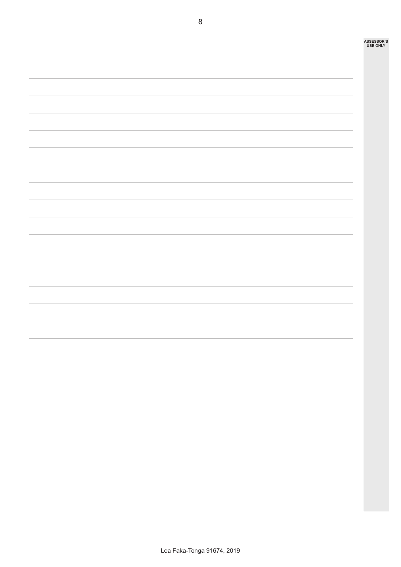| ASSESSOR'S<br>USE ONLY |
|------------------------|
|                        |
|                        |
|                        |
|                        |
|                        |
|                        |
|                        |
|                        |
|                        |
|                        |
|                        |
|                        |
|                        |
|                        |
|                        |
|                        |
|                        |
|                        |
|                        |
|                        |
|                        |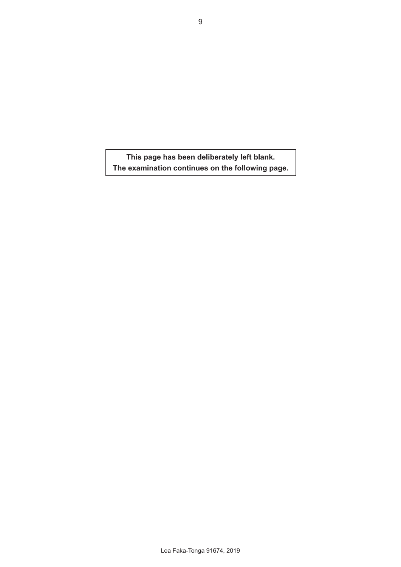**This page has been deliberately left blank. The examination continues on the following page.**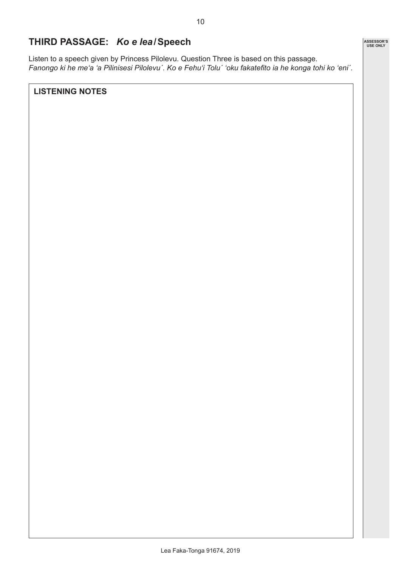# **THIRD PASSAGE:** *Ko e lea***/Speech**

Listen to a speech given by Princess Pilolevu. Question Three is based on this passage. *Fanongo ki he me'a 'a Pilinisesi Pilolevu´. Ko e Fehu'i Tolu´ 'oku fakatefito ia he konga tohi ko 'eni´.*

# **LISTENING NOTES**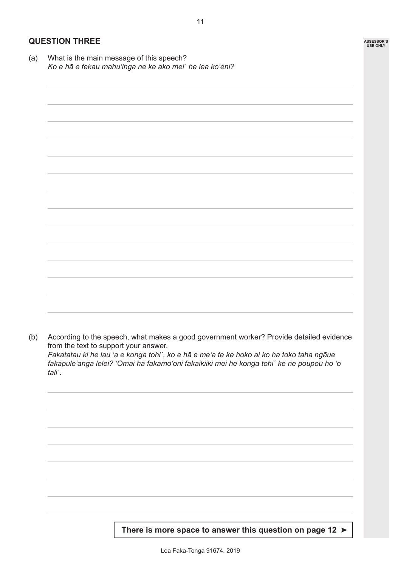## **QUESTION THREE**

(a) What is the main message of this speech? *Ko e hā e fekau mahu'inga ne ke ako mei´ he lea ko'eni?*

| tali'. | According to the speech, what makes a good government worker? Provide detailed evidence<br>from the text to support your answer.<br>Fakatatau ki he lau 'a e konga tohi', ko e hā e me'a te ke hoko ai ko ha toko taha ngāue<br>fakapule'anga lelei? 'Omai ha fakamo'oni fakaikiiki mei he konga tohi' ke ne poupou ho 'o |  |  |
|--------|---------------------------------------------------------------------------------------------------------------------------------------------------------------------------------------------------------------------------------------------------------------------------------------------------------------------------|--|--|
|        |                                                                                                                                                                                                                                                                                                                           |  |  |
|        |                                                                                                                                                                                                                                                                                                                           |  |  |
|        |                                                                                                                                                                                                                                                                                                                           |  |  |
|        |                                                                                                                                                                                                                                                                                                                           |  |  |
|        |                                                                                                                                                                                                                                                                                                                           |  |  |
|        |                                                                                                                                                                                                                                                                                                                           |  |  |
|        |                                                                                                                                                                                                                                                                                                                           |  |  |

**There is more space to answer this question on page 12** ➤

**ASSESSOR'S USE ONLY**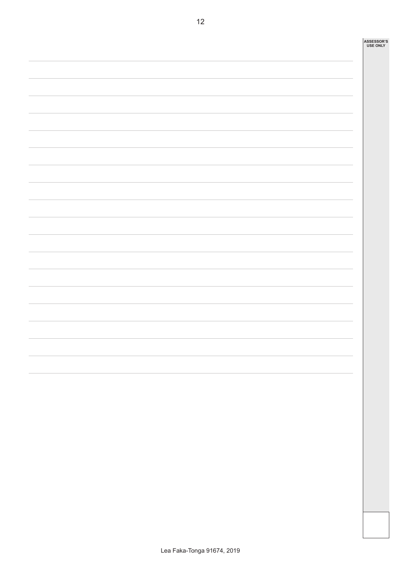| ASSESSOR'S<br>USE ONLY |
|------------------------|
|                        |
|                        |
|                        |
|                        |
|                        |
|                        |
|                        |
|                        |
|                        |
|                        |
|                        |
|                        |
|                        |
|                        |
|                        |
|                        |
|                        |
|                        |
|                        |
|                        |
|                        |
|                        |
|                        |
|                        |
|                        |
|                        |
|                        |
|                        |
|                        |
|                        |
|                        |
|                        |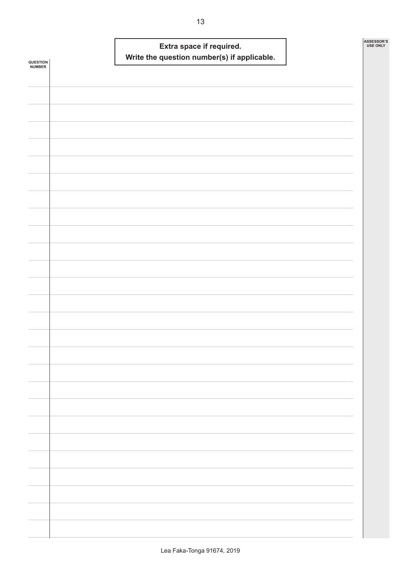|                            |  | Write the question number(s) if applicable. | Extra space if required. |  | ASSESSOR'S<br><b>USE ONLY</b> |
|----------------------------|--|---------------------------------------------|--------------------------|--|-------------------------------|
| <b>QUESTION<br/>NUMBER</b> |  |                                             |                          |  |                               |
|                            |  |                                             |                          |  |                               |
|                            |  |                                             |                          |  |                               |
|                            |  |                                             |                          |  |                               |
|                            |  |                                             |                          |  |                               |
|                            |  |                                             |                          |  |                               |
|                            |  |                                             |                          |  |                               |
|                            |  |                                             |                          |  |                               |
|                            |  |                                             |                          |  |                               |
|                            |  |                                             |                          |  |                               |
|                            |  |                                             |                          |  |                               |
|                            |  |                                             |                          |  |                               |
|                            |  |                                             |                          |  |                               |
|                            |  |                                             |                          |  |                               |
|                            |  |                                             |                          |  |                               |
|                            |  |                                             |                          |  |                               |
|                            |  |                                             |                          |  |                               |
|                            |  |                                             |                          |  |                               |
|                            |  |                                             |                          |  |                               |
|                            |  |                                             |                          |  |                               |
|                            |  |                                             |                          |  |                               |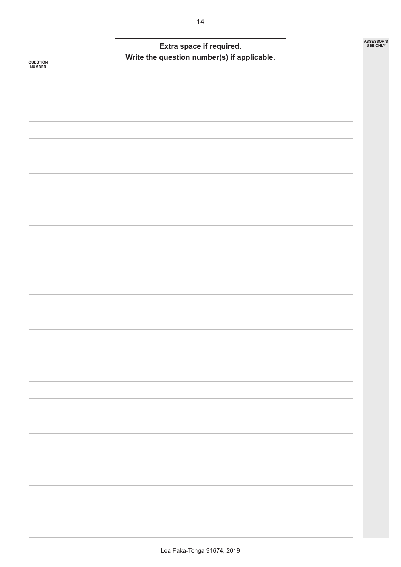| <b>QUESTION<br/>NUMBER</b> |  | Write the question number(s) if applicable. | Extra space if required. |  | ASSESSOR'S<br><b>USE ONLY</b> |
|----------------------------|--|---------------------------------------------|--------------------------|--|-------------------------------|
|                            |  |                                             |                          |  |                               |
|                            |  |                                             |                          |  |                               |
|                            |  |                                             |                          |  |                               |
|                            |  |                                             |                          |  |                               |
|                            |  |                                             |                          |  |                               |
|                            |  |                                             |                          |  |                               |
|                            |  |                                             |                          |  |                               |
|                            |  |                                             |                          |  |                               |
|                            |  |                                             |                          |  |                               |
|                            |  |                                             |                          |  |                               |
|                            |  |                                             |                          |  |                               |
|                            |  |                                             |                          |  |                               |
|                            |  |                                             |                          |  |                               |
|                            |  |                                             |                          |  |                               |
|                            |  |                                             |                          |  |                               |
|                            |  |                                             |                          |  |                               |
|                            |  |                                             |                          |  |                               |
|                            |  |                                             |                          |  |                               |
|                            |  |                                             |                          |  |                               |
|                            |  |                                             |                          |  |                               |
|                            |  |                                             |                          |  |                               |